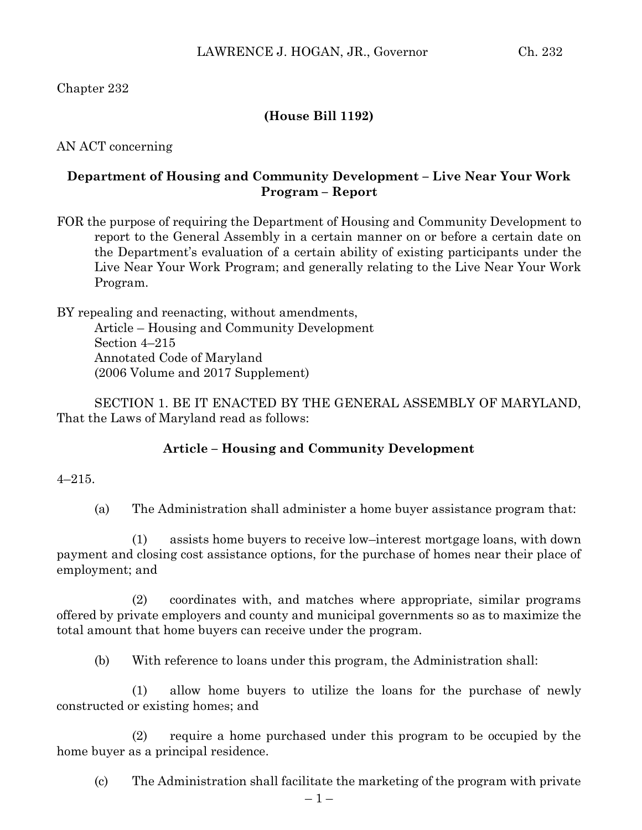## **(House Bill 1192)**

AN ACT concerning

## **Department of Housing and Community Development – Live Near Your Work Program – Report**

FOR the purpose of requiring the Department of Housing and Community Development to report to the General Assembly in a certain manner on or before a certain date on the Department's evaluation of a certain ability of existing participants under the Live Near Your Work Program; and generally relating to the Live Near Your Work Program.

BY repealing and reenacting, without amendments, Article – Housing and Community Development Section 4–215 Annotated Code of Maryland (2006 Volume and 2017 Supplement)

SECTION 1. BE IT ENACTED BY THE GENERAL ASSEMBLY OF MARYLAND, That the Laws of Maryland read as follows:

## **Article – Housing and Community Development**

 $4 - 215$ .

(a) The Administration shall administer a home buyer assistance program that:

(1) assists home buyers to receive low–interest mortgage loans, with down payment and closing cost assistance options, for the purchase of homes near their place of employment; and

(2) coordinates with, and matches where appropriate, similar programs offered by private employers and county and municipal governments so as to maximize the total amount that home buyers can receive under the program.

(b) With reference to loans under this program, the Administration shall:

(1) allow home buyers to utilize the loans for the purchase of newly constructed or existing homes; and

(2) require a home purchased under this program to be occupied by the home buyer as a principal residence.

(c) The Administration shall facilitate the marketing of the program with private